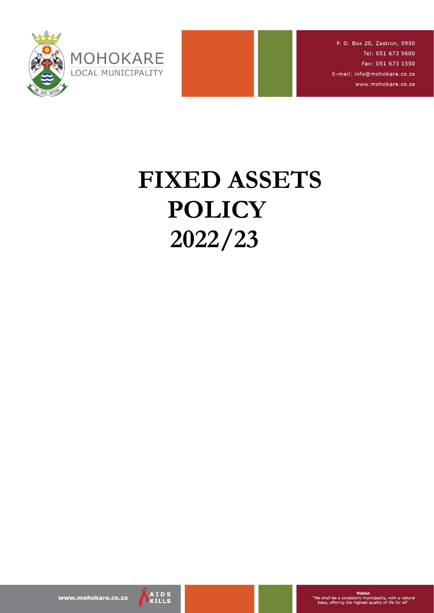

P. O. Box 20, Zastron, 9950 Tel: 051 673 9600 Fax: 051 673 1550 E-mail: info@mohokare.co.za www.mohokare.co.za

# **FIXED ASSETS POLICY 2022/23**

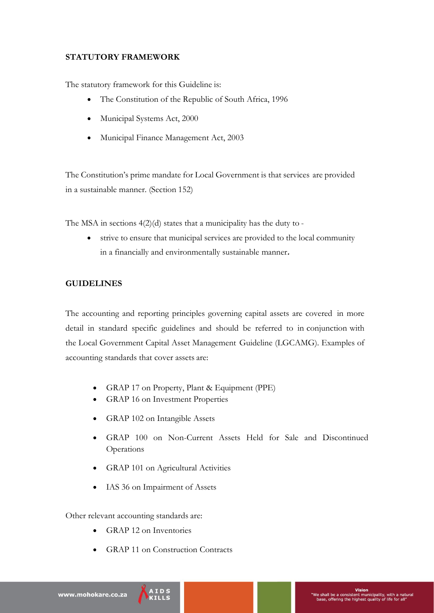## **STATUTORY FRAMEWORK**

The statutory framework for this Guideline is:

- The Constitution of the Republic of South Africa, 1996
- Municipal Systems Act, 2000
- Municipal Finance Management Act, 2003

The Constitution's prime mandate for Local Government is that services are provided in a sustainable manner. (Section 152)

The MSA in sections 4(2)(d) states that a municipality has the duty to -

 strive to ensure that municipal services are provided to the local community in a financially and environmentally sustainable manner**.**

## **GUIDELINES**

The accounting and reporting principles governing capital assets are covered in more detail in standard specific guidelines and should be referred to in conjunction with the Local Government Capital Asset Management Guideline (LGCAMG). Examples of accounting standards that cover assets are:

- GRAP 17 on Property, Plant & Equipment (PPE)
- GRAP 16 on Investment Properties
- GRAP 102 on Intangible Assets
- GRAP 100 on Non-Current Assets Held for Sale and Discontinued Operations
- GRAP 101 on Agricultural Activities
- IAS 36 on Impairment of Assets

Other relevant accounting standards are:

- GRAP 12 on Inventories
- GRAP 11 on Construction Contracts

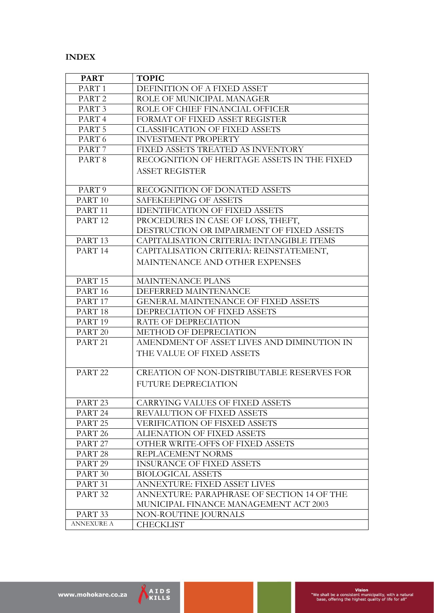#### **INDEX**

| <b>PART</b>                      | <b>TOPIC</b>                                |
|----------------------------------|---------------------------------------------|
| PART <sub>1</sub>                | DEFINITION OF A FIXED ASSET                 |
| PART <sub>2</sub>                | ROLE OF MUNICIPAL MANAGER                   |
| PART <sub>3</sub>                | ROLE OF CHIEF FINANCIAL OFFICER             |
| PART <sub>4</sub>                | FORMAT OF FIXED ASSET REGISTER              |
| PART <sub>5</sub>                | <b>CLASSIFICATION OF FIXED ASSETS</b>       |
| PART <sub>6</sub>                | <b>INVESTMENT PROPERTY</b>                  |
| PART <sub>7</sub>                | FIXED ASSETS TREATED AS INVENTORY           |
| PART <sub>8</sub>                | RECOGNITION OF HERITAGE ASSETS IN THE FIXED |
|                                  | <b>ASSET REGISTER</b>                       |
|                                  |                                             |
| PART 9                           | RECOGNITION OF DONATED ASSETS               |
| PART <sub>10</sub>               | SAFEKEEPING OF ASSETS                       |
| PART <sub>11</sub>               | <b>IDENTIFICATION OF FIXED ASSETS</b>       |
| PART <sub>12</sub>               | PROCEDURES IN CASE OF LOSS, THEFT,          |
|                                  | DESTRUCTION OR IMPAIRMENT OF FIXED ASSETS   |
| PART <sub>13</sub>               | CAPITALISATION CRITERIA: INTANGIBLE ITEMS   |
| PART 14                          | CAPITALISATION CRITERIA: REINSTATEMENT,     |
|                                  | MAINTENANCE AND OTHER EXPENSES              |
|                                  |                                             |
| PART <sub>15</sub>               | <b>MAINTENANCE PLANS</b>                    |
| PART <sub>16</sub>               | DEFERRED MAINTENANCE                        |
| PART 17                          | <b>GENERAL MAINTENANCE OF FIXED ASSETS</b>  |
| PART <sub>18</sub>               | DEPRECIATION OF FIXED ASSETS                |
| PART <sub>19</sub>               | RATE OF DEPRECIATION                        |
| PART <sub>20</sub>               | METHOD OF DEPRECIATION                      |
| PART <sub>21</sub>               | AMENDMENT OF ASSET LIVES AND DIMINUTION IN  |
|                                  | THE VALUE OF FIXED ASSETS                   |
|                                  |                                             |
| PART <sub>22</sub>               | CREATION OF NON-DISTRIBUTABLE RESERVES FOR  |
|                                  | <b>FUTURE DEPRECIATION</b>                  |
|                                  |                                             |
| PART <sub>23</sub>               | <b>CARRYING VALUES OF FIXED ASSETS</b>      |
| PART <sub>24</sub>               | REVALUTION OF FIXED ASSETS                  |
| PART <sub>25</sub>               | <b>VERIFICATION OF FISXED ASSETS</b>        |
| PART <sub>26</sub>               | ALIENATION OF FIXED ASSETS                  |
| PART <sub>27</sub>               | OTHER WRITE-OFFS OF FIXED ASSETS            |
| PART <sub>28</sub>               | REPLACEMENT NORMS                           |
| PART <sub>29</sub>               | <b>INSURANCE OF FIXED ASSETS</b>            |
| PART 30                          | <b>BIOLOGICAL ASSETS</b>                    |
| PART 31                          | <b>ANNEXTURE: FIXED ASSET LIVES</b>         |
| PART <sub>32</sub>               | ANNEXTURE: PARAPHRASE OF SECTION 14 OF THE  |
|                                  | MUNICIPAL FINANCE MANAGEMENT ACT 2003       |
| PART <sub>33</sub><br>ANNEXURE A | NON-ROUTINE JOURNALS                        |
|                                  | <b>CHECKLIST</b>                            |

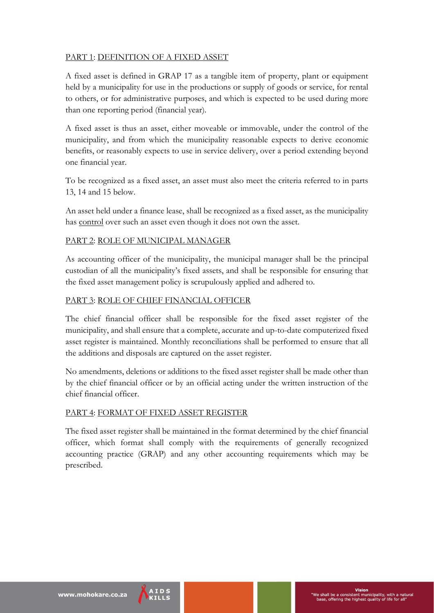# PART 1: DEFINITION OF A FIXED ASSET

A fixed asset is defined in GRAP 17 as a tangible item of property, plant or equipment held by a municipality for use in the productions or supply of goods or service, for rental to others, or for administrative purposes, and which is expected to be used during more than one reporting period (financial year).

A fixed asset is thus an asset, either moveable or immovable, under the control of the municipality, and from which the municipality reasonable expects to derive economic benefits, or reasonably expects to use in service delivery, over a period extending beyond one financial year.

To be recognized as a fixed asset, an asset must also meet the criteria referred to in parts 13, 14 and 15 below.

An asset held under a finance lease, shall be recognized as a fixed asset, as the municipality has control over such an asset even though it does not own the asset.

## PART 2: ROLE OF MUNICIPAL MANAGER

As accounting officer of the municipality, the municipal manager shall be the principal custodian of all the municipality's fixed assets, and shall be responsible for ensuring that the fixed asset management policy is scrupulously applied and adhered to.

#### PART 3: ROLE OF CHIEF FINANCIAL OFFICER

The chief financial officer shall be responsible for the fixed asset register of the municipality, and shall ensure that a complete, accurate and up-to-date computerized fixed asset register is maintained. Monthly reconciliations shall be performed to ensure that all the additions and disposals are captured on the asset register.

No amendments, deletions or additions to the fixed asset register shall be made other than by the chief financial officer or by an official acting under the written instruction of the chief financial officer.

#### PART 4: FORMAT OF FIXED ASSET REGISTER

The fixed asset register shall be maintained in the format determined by the chief financial officer, which format shall comply with the requirements of generally recognized accounting practice (GRAP) and any other accounting requirements which may be prescribed.

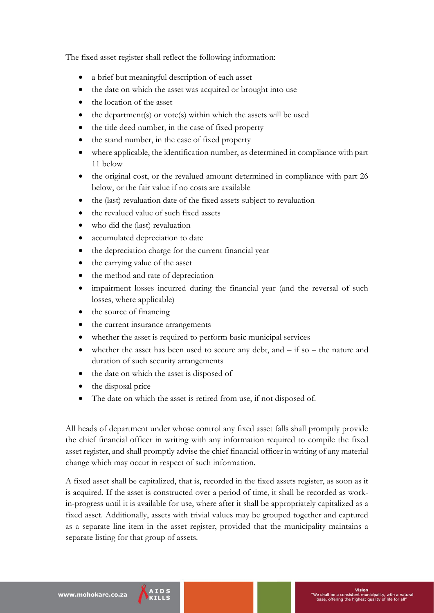The fixed asset register shall reflect the following information:

- a brief but meaningful description of each asset
- the date on which the asset was acquired or brought into use
- the location of the asset
- the department(s) or vote(s) within which the assets will be used
- the title deed number, in the case of fixed property
- the stand number, in the case of fixed property
- where applicable, the identification number, as determined in compliance with part 11 below
- the original cost, or the revalued amount determined in compliance with part 26 below, or the fair value if no costs are available
- the (last) revaluation date of the fixed assets subject to revaluation
- the revalued value of such fixed assets
- who did the (last) revaluation
- accumulated depreciation to date
- the depreciation charge for the current financial year
- the carrying value of the asset
- the method and rate of depreciation
- impairment losses incurred during the financial year (and the reversal of such losses, where applicable)
- the source of financing
- the current insurance arrangements
- whether the asset is required to perform basic municipal services
- whether the asset has been used to secure any debt, and  $-$  if so  $-$  the nature and duration of such security arrangements
- the date on which the asset is disposed of
- the disposal price
- The date on which the asset is retired from use, if not disposed of.

All heads of department under whose control any fixed asset falls shall promptly provide the chief financial officer in writing with any information required to compile the fixed asset register, and shall promptly advise the chief financial officer in writing of any material change which may occur in respect of such information.

A fixed asset shall be capitalized, that is, recorded in the fixed assets register, as soon as it is acquired. If the asset is constructed over a period of time, it shall be recorded as workin-progress until it is available for use, where after it shall be appropriately capitalized as a fixed asset. Additionally, assets with trivial values may be grouped together and captured as a separate line item in the asset register, provided that the municipality maintains a separate listing for that group of assets.

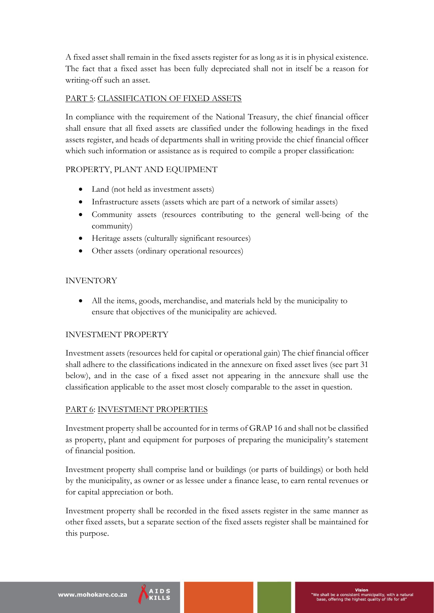A fixed asset shall remain in the fixed assets register for as long as it is in physical existence. The fact that a fixed asset has been fully depreciated shall not in itself be a reason for writing-off such an asset.

## PART 5: CLASSIFICATION OF FIXED ASSETS

In compliance with the requirement of the National Treasury, the chief financial officer shall ensure that all fixed assets are classified under the following headings in the fixed assets register, and heads of departments shall in writing provide the chief financial officer which such information or assistance as is required to compile a proper classification:

## PROPERTY, PLANT AND EQUIPMENT

- Land (not held as investment assets)
- Infrastructure assets (assets which are part of a network of similar assets)
- Community assets (resources contributing to the general well-being of the community)
- Heritage assets (culturally significant resources)
- Other assets (ordinary operational resources)

## INVENTORY

 All the items, goods, merchandise, and materials held by the municipality to ensure that objectives of the municipality are achieved.

## INVESTMENT PROPERTY

Investment assets (resources held for capital or operational gain) The chief financial officer shall adhere to the classifications indicated in the annexure on fixed asset lives (see part 31 below), and in the case of a fixed asset not appearing in the annexure shall use the classification applicable to the asset most closely comparable to the asset in question.

## PART 6: INVESTMENT PROPERTIES

Investment property shall be accounted for in terms of GRAP 16 and shall not be classified as property, plant and equipment for purposes of preparing the municipality's statement of financial position.

Investment property shall comprise land or buildings (or parts of buildings) or both held by the municipality, as owner or as lessee under a finance lease, to earn rental revenues or for capital appreciation or both.

Investment property shall be recorded in the fixed assets register in the same manner as other fixed assets, but a separate section of the fixed assets register shall be maintained for this purpose.

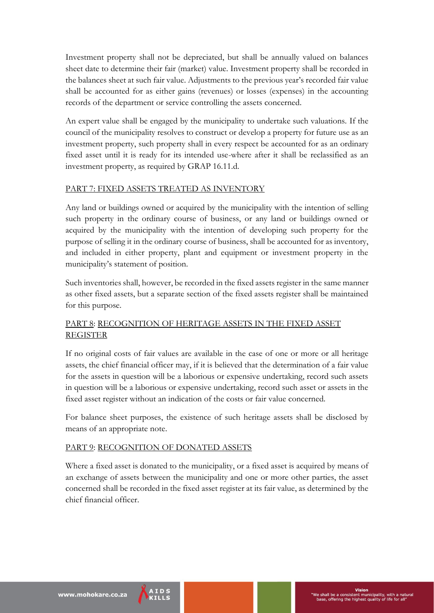Investment property shall not be depreciated, but shall be annually valued on balances sheet date to determine their fair (market) value. Investment property shall be recorded in the balances sheet at such fair value. Adjustments to the previous year's recorded fair value shall be accounted for as either gains (revenues) or losses (expenses) in the accounting records of the department or service controlling the assets concerned.

An expert value shall be engaged by the municipality to undertake such valuations. If the council of the municipality resolves to construct or develop a property for future use as an investment property, such property shall in every respect be accounted for as an ordinary fixed asset until it is ready for its intended use-where after it shall be reclassified as an investment property, as required by GRAP 16.11.d.

## PART 7: FIXED ASSETS TREATED AS INVENTORY

Any land or buildings owned or acquired by the municipality with the intention of selling such property in the ordinary course of business, or any land or buildings owned or acquired by the municipality with the intention of developing such property for the purpose of selling it in the ordinary course of business, shall be accounted for as inventory, and included in either property, plant and equipment or investment property in the municipality's statement of position.

Such inventories shall, however, be recorded in the fixed assets register in the same manner as other fixed assets, but a separate section of the fixed assets register shall be maintained for this purpose.

# PART 8: RECOGNITION OF HERITAGE ASSETS IN THE FIXED ASSET REGISTER

If no original costs of fair values are available in the case of one or more or all heritage assets, the chief financial officer may, if it is believed that the determination of a fair value for the assets in question will be a laborious or expensive undertaking, record such assets in question will be a laborious or expensive undertaking, record such asset or assets in the fixed asset register without an indication of the costs or fair value concerned.

For balance sheet purposes, the existence of such heritage assets shall be disclosed by means of an appropriate note.

## PART 9: RECOGNITION OF DONATED ASSETS

Where a fixed asset is donated to the municipality, or a fixed asset is acquired by means of an exchange of assets between the municipality and one or more other parties, the asset concerned shall be recorded in the fixed asset register at its fair value, as determined by the chief financial officer.

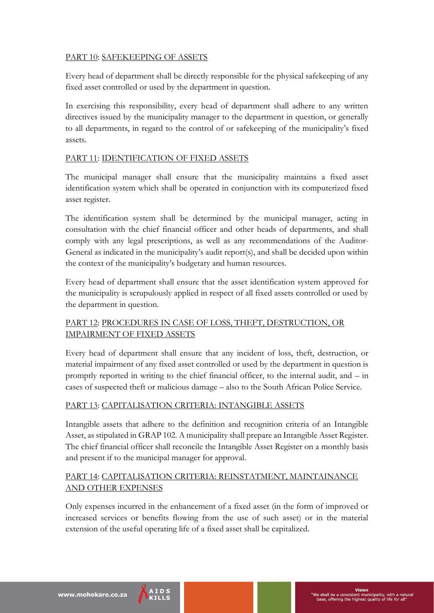## PART 10: SAFEKEEPING OF ASSETS

Every head of department shall be directly responsible for the physical safekeeping of any fixed asset controlled or used by the department in question.

In exercising this responsibility, every head of department shall adhere to any written directives issued by the municipality manager to the department in question, or generally to all departments, in regard to the control of or safekeeping of the municipality's fixed assets.

## PART 11: IDENTIFICATION OF FIXED ASSETS

The municipal manager shall ensure that the municipality maintains a fixed asset identification system which shall be operated in conjunction with its computerized fixed asset register.

The identification system shall be determined by the municipal manager, acting in consultation with the chief financial officer and other heads of departments, and shall comply with any legal prescriptions, as well as any recommendations of the Auditor-General as indicated in the municipality's audit report(s), and shall be decided upon within the context of the municipality's budgetary and human resources.

Every head of department shall ensure that the asset identification system approved for the municipality is scrupulously applied in respect of all fixed assets controlled or used by the department in question.

## PART 12: PROCEDURES IN CASE OF LOSS, THEFT, DESTRUCTION, OR IMPAIRMENT OF FIXED ASSETS

Every head of department shall ensure that any incident of loss, theft, destruction, or material impairment of any fixed asset controlled or used by the department in question is promptly reported in writing to the chief financial officer, to the internal audit, and – in cases of suspected theft or malicious damage – also to the South African Police Service.

# PART 13: CAPITALISATION CRITERIA: INTANGIBLE ASSETS

Intangible assets that adhere to the definition and recognition criteria of an Intangible Asset, as stipulated in GRAP 102. A municipality shall prepare an Intangible Asset Register. The chief financial officer shall reconcile the Intangible Asset Register on a monthly basis and present if to the municipal manager for approval.

## PART 14: CAPITALISATION CRITERIA: REINSTATMENT, MAINTAINANCE AND OTHER EXPENSES

Only expenses incurred in the enhancement of a fixed asset (in the form of improved or increased services or benefits flowing from the use of such asset) or in the material extension of the useful operating life of a fixed asset shall be capitalized.

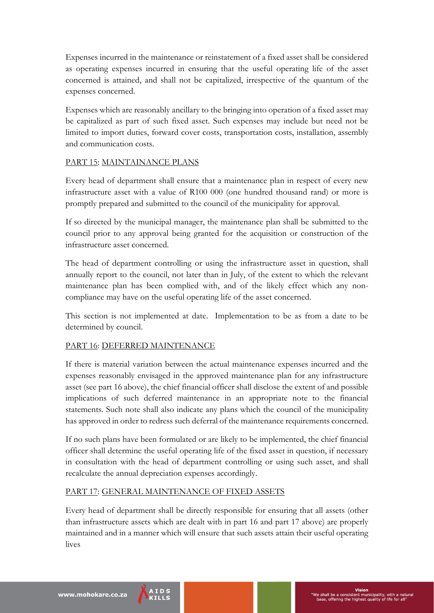Expenses incurred in the maintenance or reinstatement of a fixed asset shall be considered as operating expenses incurred in ensuring that the useful operating life of the asset concerned is attained, and shall not be capitalized, irrespective of the quantum of the expenses concerned.

Expenses which are reasonably ancillary to the bringing into operation of a fixed asset may be capitalized as part of such fixed asset. Such expenses may include but need not be limited to import duties, forward cover costs, transportation costs, installation, assembly and communication costs.

## PART 15: MAINTAINANCE PLANS

Every head of department shall ensure that a maintenance plan in respect of every new infrastructure asset with a value of R100 000 (one hundred thousand rand) or more is promptly prepared and submitted to the council of the municipality for approval.

If so directed by the municipal manager, the maintenance plan shall be submitted to the council prior to any approval being granted for the acquisition or construction of the infrastructure asset concerned.

The head of department controlling or using the infrastructure asset in question, shall annually report to the council, not later than in July, of the extent to which the relevant maintenance plan has been complied with, and of the likely effect which any noncompliance may have on the useful operating life of the asset concerned.

This section is not implemented at date. Implementation to be as from a date to be determined by council.

# PART 16: DEFERRED MAINTENANCE

If there is material variation between the actual maintenance expenses incurred and the expenses reasonably envisaged in the approved maintenance plan for any infrastructure asset (see part 16 above), the chief financial officer shall disclose the extent of and possible implications of such deferred maintenance in an appropriate note to the financial statements. Such note shall also indicate any plans which the council of the municipality has approved in order to redress such deferral of the maintenance requirements concerned.

If no such plans have been formulated or are likely to be implemented, the chief financial officer shall determine the useful operating life of the fixed asset in question, if necessary in consultation with the head of department controlling or using such asset, and shall recalculate the annual depreciation expenses accordingly.

# PART 17: GENERAL MAINTENANCE OF FIXED ASSETS

Every head of department shall be directly responsible for ensuring that all assets (other than infrastructure assets which are dealt with in part 16 and part 17 above) are properly maintained and in a manner which will ensure that such assets attain their useful operating lives

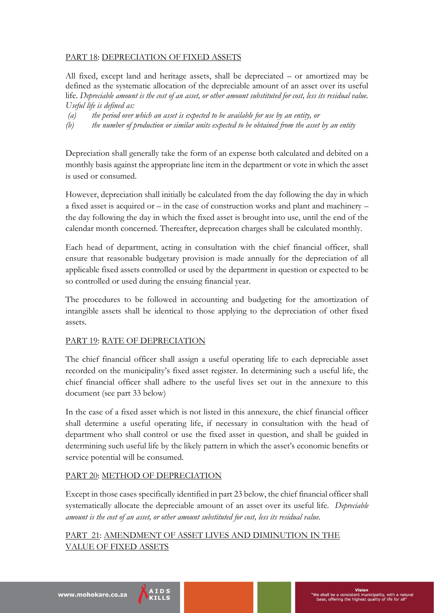## PART 18: DEPRECIATION OF FIXED ASSETS

All fixed, except land and heritage assets, shall be depreciated – or amortized may be defined as the systematic allocation of the depreciable amount of an asset over its useful life. *Depreciable amount is the cost of an asset, or other amount substituted for cost, less its residual value. Useful life is defined as:*

- *(a) the period over which an asset is expected to be available for use by an entity, or*
- *(b) the number of production or similar units expected to be obtained from the asset by an entity*

Depreciation shall generally take the form of an expense both calculated and debited on a monthly basis against the appropriate line item in the department or vote in which the asset is used or consumed.

However, depreciation shall initially be calculated from the day following the day in which a fixed asset is acquired or – in the case of construction works and plant and machinery – the day following the day in which the fixed asset is brought into use, until the end of the calendar month concerned. Thereafter, deprecation charges shall be calculated monthly.

Each head of department, acting in consultation with the chief financial officer, shall ensure that reasonable budgetary provision is made annually for the depreciation of all applicable fixed assets controlled or used by the department in question or expected to be so controlled or used during the ensuing financial year.

The procedures to be followed in accounting and budgeting for the amortization of intangible assets shall be identical to those applying to the depreciation of other fixed assets.

## PART 19: RATE OF DEPRECIATION

The chief financial officer shall assign a useful operating life to each depreciable asset recorded on the municipality's fixed asset register. In determining such a useful life, the chief financial officer shall adhere to the useful lives set out in the annexure to this document (see part 33 below)

In the case of a fixed asset which is not listed in this annexure, the chief financial officer shall determine a useful operating life, if necessary in consultation with the head of department who shall control or use the fixed asset in question, and shall be guided in determining such useful life by the likely pattern in which the asset's economic benefits or service potential will be consumed.

## PART 20: METHOD OF DEPRECIATION

Except in those cases specifically identified in part 23 below, the chief financial officer shall systematically allocate the depreciable amount of an asset over its useful life. *Depreciable amount is the cost of an asset, or other amount substituted for cost, less its residual value.*

PART 21: AMENDMENT OF ASSET LIVES AND DIMINUTION IN THE VALUE OF FIXED ASSETS

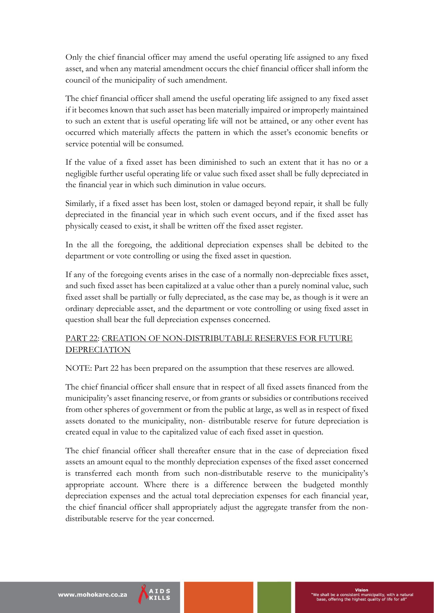Only the chief financial officer may amend the useful operating life assigned to any fixed asset, and when any material amendment occurs the chief financial officer shall inform the council of the municipality of such amendment.

The chief financial officer shall amend the useful operating life assigned to any fixed asset if it becomes known that such asset has been materially impaired or improperly maintained to such an extent that is useful operating life will not be attained, or any other event has occurred which materially affects the pattern in which the asset's economic benefits or service potential will be consumed.

If the value of a fixed asset has been diminished to such an extent that it has no or a negligible further useful operating life or value such fixed asset shall be fully depreciated in the financial year in which such diminution in value occurs.

Similarly, if a fixed asset has been lost, stolen or damaged beyond repair, it shall be fully depreciated in the financial year in which such event occurs, and if the fixed asset has physically ceased to exist, it shall be written off the fixed asset register.

In the all the foregoing, the additional depreciation expenses shall be debited to the department or vote controlling or using the fixed asset in question.

If any of the foregoing events arises in the case of a normally non-depreciable fixes asset, and such fixed asset has been capitalized at a value other than a purely nominal value, such fixed asset shall be partially or fully depreciated, as the case may be, as though is it were an ordinary depreciable asset, and the department or vote controlling or using fixed asset in question shall bear the full depreciation expenses concerned.

## PART 22: CREATION OF NON-DISTRIBUTABLE RESERVES FOR FUTURE **DEPRECIATION**

NOTE: Part 22 has been prepared on the assumption that these reserves are allowed.

The chief financial officer shall ensure that in respect of all fixed assets financed from the municipality's asset financing reserve, or from grants or subsidies or contributions received from other spheres of government or from the public at large, as well as in respect of fixed assets donated to the municipality, non- distributable reserve for future depreciation is created equal in value to the capitalized value of each fixed asset in question.

The chief financial officer shall thereafter ensure that in the case of depreciation fixed assets an amount equal to the monthly depreciation expenses of the fixed asset concerned is transferred each month from such non-distributable reserve to the municipality's appropriate account. Where there is a difference between the budgeted monthly depreciation expenses and the actual total depreciation expenses for each financial year, the chief financial officer shall appropriately adjust the aggregate transfer from the nondistributable reserve for the year concerned.

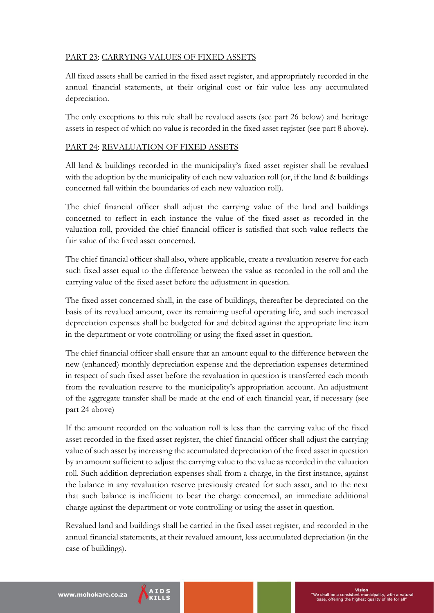# PART 23: CARRYING VALUES OF FIXED ASSETS

All fixed assets shall be carried in the fixed asset register, and appropriately recorded in the annual financial statements, at their original cost or fair value less any accumulated depreciation.

The only exceptions to this rule shall be revalued assets (see part 26 below) and heritage assets in respect of which no value is recorded in the fixed asset register (see part 8 above).

## PART 24: REVALUATION OF FIXED ASSETS

All land & buildings recorded in the municipality's fixed asset register shall be revalued with the adoption by the municipality of each new valuation roll (or, if the land & buildings concerned fall within the boundaries of each new valuation roll).

The chief financial officer shall adjust the carrying value of the land and buildings concerned to reflect in each instance the value of the fixed asset as recorded in the valuation roll, provided the chief financial officer is satisfied that such value reflects the fair value of the fixed asset concerned.

The chief financial officer shall also, where applicable, create a revaluation reserve for each such fixed asset equal to the difference between the value as recorded in the roll and the carrying value of the fixed asset before the adjustment in question.

The fixed asset concerned shall, in the case of buildings, thereafter be depreciated on the basis of its revalued amount, over its remaining useful operating life, and such increased depreciation expenses shall be budgeted for and debited against the appropriate line item in the department or vote controlling or using the fixed asset in question.

The chief financial officer shall ensure that an amount equal to the difference between the new (enhanced) monthly depreciation expense and the depreciation expenses determined in respect of such fixed asset before the revaluation in question is transferred each month from the revaluation reserve to the municipality's appropriation account. An adjustment of the aggregate transfer shall be made at the end of each financial year, if necessary (see part 24 above)

If the amount recorded on the valuation roll is less than the carrying value of the fixed asset recorded in the fixed asset register, the chief financial officer shall adjust the carrying value of such asset by increasing the accumulated depreciation of the fixed asset in question by an amount sufficient to adjust the carrying value to the value as recorded in the valuation roll. Such addition depreciation expenses shall from a charge, in the first instance, against the balance in any revaluation reserve previously created for such asset, and to the next that such balance is inefficient to bear the charge concerned, an immediate additional charge against the department or vote controlling or using the asset in question.

Revalued land and buildings shall be carried in the fixed asset register, and recorded in the annual financial statements, at their revalued amount, less accumulated depreciation (in the case of buildings).

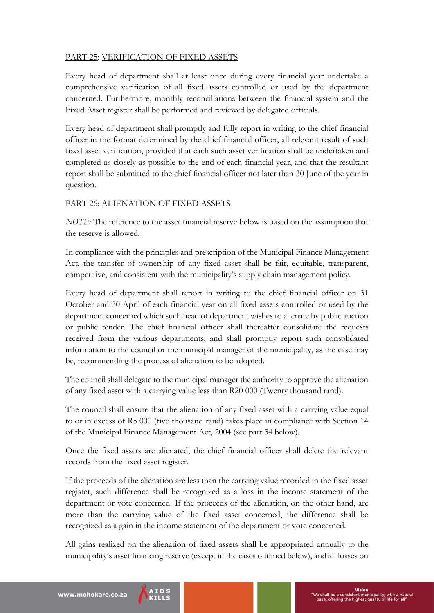## PART 25: VERIFICATION OF FIXED ASSETS

Every head of department shall at least once during every financial year undertake a comprehensive verification of all fixed assets controlled or used by the department concerned. Furthermore, monthly reconciliations between the financial system and the Fixed Asset register shall be performed and reviewed by delegated officials.

Every head of department shall promptly and fully report in writing to the chief financial officer in the format determined by the chief financial officer, all relevant result of such fixed asset verification, provided that each such asset verification shall be undertaken and completed as closely as possible to the end of each financial year, and that the resultant report shall be submitted to the chief financial officer not later than 30 June of the year in question.

#### PART 26: ALIENATION OF FIXED ASSETS

*NOTE:* The reference to the asset financial reserve below is based on the assumption that the reserve is allowed.

In compliance with the principles and prescription of the Municipal Finance Management Act, the transfer of ownership of any fixed asset shall be fair, equitable, transparent, competitive, and consistent with the municipality's supply chain management policy.

Every head of department shall report in writing to the chief financial officer on 31 October and 30 April of each financial year on all fixed assets controlled or used by the department concerned which such head of department wishes to alienate by public auction or public tender. The chief financial officer shall thereafter consolidate the requests received from the various departments, and shall promptly report such consolidated information to the council or the municipal manager of the municipality, as the case may be, recommending the process of alienation to be adopted.

The council shall delegate to the municipal manager the authority to approve the alienation of any fixed asset with a carrying value less than R20 000 (Twenty thousand rand).

The council shall ensure that the alienation of any fixed asset with a carrying value equal to or in excess of R5 000 (five thousand rand) takes place in compliance with Section 14 of the Municipal Finance Management Act, 2004 (see part 34 below).

Once the fixed assets are alienated, the chief financial officer shall delete the relevant records from the fixed asset register.

If the proceeds of the alienation are less than the carrying value recorded in the fixed asset register, such difference shall be recognized as a loss in the income statement of the department or vote concerned. If the proceeds of the alienation, on the other hand, are more than the carrying value of the fixed asset concerned, the difference shall be recognized as a gain in the income statement of the department or vote concerned.

All gains realized on the alienation of fixed assets shall be appropriated annually to the municipality's asset financing reserve (except in the cases outlined below), and all losses on

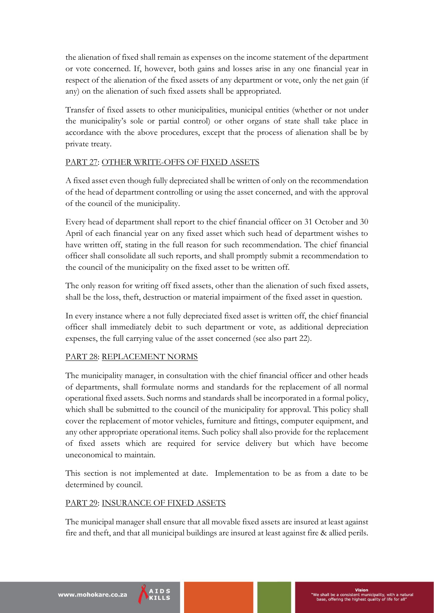the alienation of fixed shall remain as expenses on the income statement of the department or vote concerned. If, however, both gains and losses arise in any one financial year in respect of the alienation of the fixed assets of any department or vote, only the net gain (if any) on the alienation of such fixed assets shall be appropriated.

Transfer of fixed assets to other municipalities, municipal entities (whether or not under the municipality's sole or partial control) or other organs of state shall take place in accordance with the above procedures, except that the process of alienation shall be by private treaty.

## PART 27: OTHER WRITE-OFFS OF FIXED ASSETS

A fixed asset even though fully depreciated shall be written of only on the recommendation of the head of department controlling or using the asset concerned, and with the approval of the council of the municipality.

Every head of department shall report to the chief financial officer on 31 October and 30 April of each financial year on any fixed asset which such head of department wishes to have written off, stating in the full reason for such recommendation. The chief financial officer shall consolidate all such reports, and shall promptly submit a recommendation to the council of the municipality on the fixed asset to be written off.

The only reason for writing off fixed assets, other than the alienation of such fixed assets, shall be the loss, theft, destruction or material impairment of the fixed asset in question.

In every instance where a not fully depreciated fixed asset is written off, the chief financial officer shall immediately debit to such department or vote, as additional depreciation expenses, the full carrying value of the asset concerned (see also part 22).

# PART 28: REPLACEMENT NORMS

The municipality manager, in consultation with the chief financial officer and other heads of departments, shall formulate norms and standards for the replacement of all normal operational fixed assets. Such norms and standards shall be incorporated in a formal policy, which shall be submitted to the council of the municipality for approval. This policy shall cover the replacement of motor vehicles, furniture and fittings, computer equipment, and any other appropriate operational items. Such policy shall also provide for the replacement of fixed assets which are required for service delivery but which have become uneconomical to maintain.

This section is not implemented at date. Implementation to be as from a date to be determined by council.

## PART 29: INSURANCE OF FIXED ASSETS

The municipal manager shall ensure that all movable fixed assets are insured at least against fire and theft, and that all municipal buildings are insured at least against fire & allied perils.

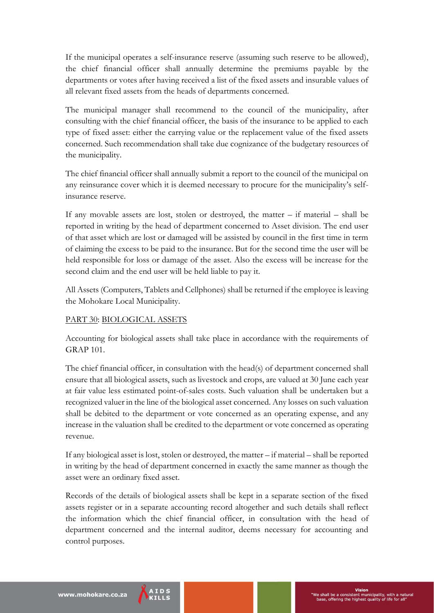If the municipal operates a self-insurance reserve (assuming such reserve to be allowed), the chief financial officer shall annually determine the premiums payable by the departments or votes after having received a list of the fixed assets and insurable values of all relevant fixed assets from the heads of departments concerned.

The municipal manager shall recommend to the council of the municipality, after consulting with the chief financial officer, the basis of the insurance to be applied to each type of fixed asset: either the carrying value or the replacement value of the fixed assets concerned. Such recommendation shall take due cognizance of the budgetary resources of the municipality.

The chief financial officer shall annually submit a report to the council of the municipal on any reinsurance cover which it is deemed necessary to procure for the municipality's selfinsurance reserve.

If any movable assets are lost, stolen or destroyed, the matter – if material – shall be reported in writing by the head of department concerned to Asset division. The end user of that asset which are lost or damaged will be assisted by council in the first time in term of claiming the excess to be paid to the insurance. But for the second time the user will be held responsible for loss or damage of the asset. Also the excess will be increase for the second claim and the end user will be held liable to pay it.

All Assets (Computers, Tablets and Cellphones) shall be returned if the employee is leaving the Mohokare Local Municipality.

## PART 30: BIOLOGICAL ASSETS

Accounting for biological assets shall take place in accordance with the requirements of GRAP 101.

The chief financial officer, in consultation with the head(s) of department concerned shall ensure that all biological assets, such as livestock and crops, are valued at 30 June each year at fair value less estimated point-of-sales costs. Such valuation shall be undertaken but a recognized valuer in the line of the biological asset concerned. Any losses on such valuation shall be debited to the department or vote concerned as an operating expense, and any increase in the valuation shall be credited to the department or vote concerned as operating revenue.

If any biological asset is lost, stolen or destroyed, the matter – if material – shall be reported in writing by the head of department concerned in exactly the same manner as though the asset were an ordinary fixed asset.

Records of the details of biological assets shall be kept in a separate section of the fixed assets register or in a separate accounting record altogether and such details shall reflect the information which the chief financial officer, in consultation with the head of department concerned and the internal auditor, deems necessary for accounting and control purposes.

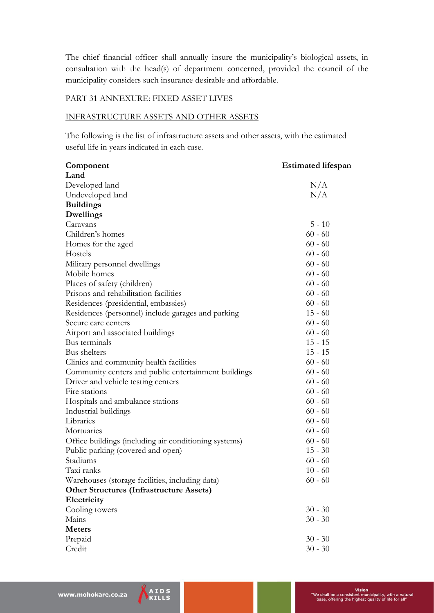The chief financial officer shall annually insure the municipality's biological assets, in consultation with the head(s) of department concerned, provided the council of the municipality considers such insurance desirable and affordable.

#### PART 31 ANNEXURE: FIXED ASSET LIVES

#### INFRASTRUCTURE ASSETS AND OTHER ASSETS

The following is the list of infrastructure assets and other assets, with the estimated useful life in years indicated in each case.

| <u>Component</u>                                      | <u>Estimated lifespan</u> |
|-------------------------------------------------------|---------------------------|
| Land                                                  |                           |
| Developed land                                        | N/A                       |
| Undeveloped land                                      | N/A                       |
| <b>Buildings</b>                                      |                           |
| Dwellings                                             |                           |
| Caravans                                              | $5 - 10$                  |
| Children's homes                                      | $60 - 60$                 |
| Homes for the aged                                    | $60 - 60$                 |
| Hostels                                               | $60 - 60$                 |
| Military personnel dwellings                          | $60 - 60$                 |
| Mobile homes                                          | $60 - 60$                 |
| Places of safety (children)                           | $60 - 60$                 |
| Prisons and rehabilitation facilities                 | $60 - 60$                 |
| Residences (presidential, embassies)                  | $60 - 60$                 |
| Residences (personnel) include garages and parking    | $15 - 60$                 |
| Secure care centers                                   | $60 - 60$                 |
| Airport and associated buildings                      | $60 - 60$                 |
| Bus terminals                                         | $15 - 15$                 |
| Bus shelters                                          | $15 - 15$                 |
| Clinics and community health facilities               | $60 - 60$                 |
| Community centers and public entertainment buildings  | $60 - 60$                 |
| Driver and vehicle testing centers                    | $60 - 60$                 |
| Fire stations                                         | $60 - 60$                 |
| Hospitals and ambulance stations                      | $60 - 60$                 |
| Industrial buildings                                  | $60 - 60$                 |
| Libraries                                             | $60 - 60$                 |
| Mortuaries                                            | $60 - 60$                 |
| Office buildings (including air conditioning systems) | $60 - 60$                 |
| Public parking (covered and open)                     | $15 - 30$                 |
| Stadiums                                              | $60 - 60$                 |
| Taxi ranks                                            | $10 - 60$                 |
| Warehouses (storage facilities, including data)       | $60 - 60$                 |
| <b>Other Structures (Infrastructure Assets)</b>       |                           |
| Electricity                                           |                           |
| Cooling towers                                        | $30 - 30$                 |
| Mains                                                 | $30 - 30$                 |
| <b>Meters</b>                                         |                           |
| Prepaid                                               | $30 - 30$                 |
| Credit                                                | $30 - 30$                 |

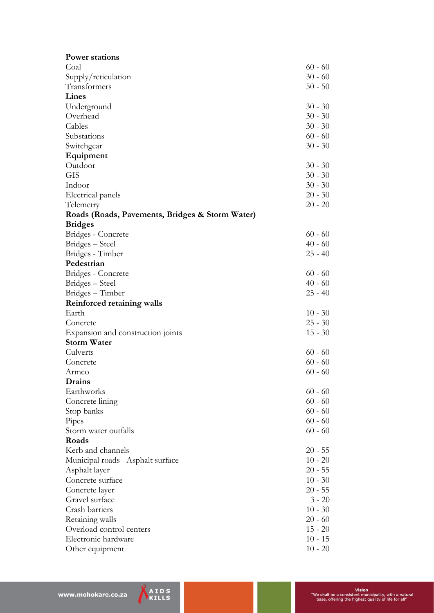| <b>Power stations</b>                           |                        |
|-------------------------------------------------|------------------------|
| Coal                                            | $60 - 60$              |
| Supply/reticulation                             | $30 - 60$              |
| Transformers                                    | $50 - 50$              |
| Lines                                           |                        |
| Underground                                     | $30 - 30$              |
| Overhead                                        |                        |
| Cables                                          | $30 - 30$              |
| Substations                                     |                        |
| Switchgear                                      | $60 - 60$<br>$30 - 30$ |
| Equipment                                       |                        |
| Outdoor                                         | $30 - 30$              |
| <b>GIS</b>                                      | $30 - 30$              |
| Indoor                                          | $30 - 30$              |
| Electrical panels                               | $20 - 30$              |
| Telemetry                                       | $20 - 20$              |
| Roads (Roads, Pavements, Bridges & Storm Water) |                        |
| <b>Bridges</b>                                  |                        |
| Bridges - Concrete                              | $60 - 60$              |
| Bridges - Steel                                 | $40 - 60$              |
| Bridges - Timber                                | $25 - 40$              |
| Pedestrian                                      |                        |
| Bridges - Concrete                              | $60 - 60$              |
| Bridges - Steel                                 | $40 - 60$              |
| Bridges - Timber                                | $25 - 40$              |
| Reinforced retaining walls                      |                        |
| Earth                                           | $10 - 30$              |
| Concrete                                        | $25 - 30$              |
| Expansion and construction joints               | $15 - 30$              |
| <b>Storm Water</b>                              |                        |
| Culverts                                        | $60 - 60$              |
| Concrete                                        | $60 - 60$              |
|                                                 | $60 - 60$              |
| Armco                                           |                        |
| Drains<br>Earthworks                            | $60 - 60$              |
|                                                 | $60 - 60$              |
| Concrete lining                                 |                        |
| Stop banks                                      | $60 - 60$              |
| Pipes                                           | $60 - 60$              |
| Storm water outfalls<br>Roads                   | $60 - 60$              |
|                                                 |                        |
| Kerb and channels                               | $20 - 55$              |
| Municipal roads Asphalt surface                 | $10 - 20$              |
| Asphalt layer                                   | $20 - 55$              |
| Concrete surface                                | $10 - 30$              |
| Concrete layer                                  | $20 - 55$              |
| Gravel surface                                  | $3 - 20$               |
| Crash barriers                                  | $10 - 30$              |
| Retaining walls                                 | $20 - 60$              |
| Overload control centers                        | $15 - 20$              |
| Electronic hardware                             | $10 - 15$              |
| Other equipment                                 | $10 - 20$              |

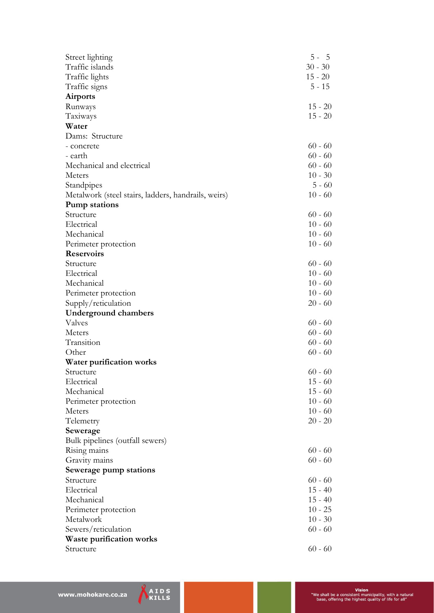| Street lighting                                     | $5 - 5$   |
|-----------------------------------------------------|-----------|
| Traffic islands                                     | $30 - 30$ |
| Traffic lights                                      | $15 - 20$ |
| Traffic signs                                       | $5 - 15$  |
| <b>Airports</b>                                     |           |
| Runways                                             | $15 - 20$ |
| Taxiways                                            | $15 - 20$ |
| Water                                               |           |
| Dams: Structure                                     |           |
|                                                     | $60 - 60$ |
| - concrete                                          | $60 - 60$ |
| - earth                                             |           |
| Mechanical and electrical                           | $60 - 60$ |
| Meters                                              | $10 - 30$ |
| Standpipes                                          | $5 - 60$  |
| Metalwork (steel stairs, ladders, handrails, weirs) | $10 - 60$ |
| <b>Pump stations</b>                                |           |
| Structure                                           | $60 - 60$ |
| Electrical                                          | $10 - 60$ |
| Mechanical                                          | $10 - 60$ |
| Perimeter protection                                | $10 - 60$ |
| <b>Reservoirs</b>                                   |           |
| Structure                                           | $60 - 60$ |
| Electrical                                          | $10 - 60$ |
| Mechanical                                          | $10 - 60$ |
| Perimeter protection                                | $10 - 60$ |
| Supply/reticulation                                 | $20 - 60$ |
| <b>Underground chambers</b>                         |           |
| Valves                                              | $60 - 60$ |
| Meters                                              | $60 - 60$ |
| Transition                                          | $60 - 60$ |
| Other                                               | $60 - 60$ |
| Water purification works                            |           |
| Structure                                           | $60 - 60$ |
| Electrical                                          | $15 - 60$ |
| Mechanical                                          | $15 - 60$ |
| Perimeter protection                                | $10 - 60$ |
| Meters                                              | $10 - 60$ |
| Telemetry                                           | $20 - 20$ |
| Sewerage                                            |           |
| Bulk pipelines (outfall sewers)                     |           |
| Rising mains                                        | $60 - 60$ |
| Gravity mains                                       | $60 - 60$ |
| Sewerage pump stations                              |           |
| Structure                                           | $60 - 60$ |
| Electrical                                          | $15 - 40$ |
| Mechanical                                          | $15 - 40$ |
| Perimeter protection                                | $10 - 25$ |
| Metalwork                                           | $10 - 30$ |
| Sewers/reticulation                                 | $60 - 60$ |
| <b>Waste purification works</b>                     |           |
| Structure                                           | $60 - 60$ |
|                                                     |           |

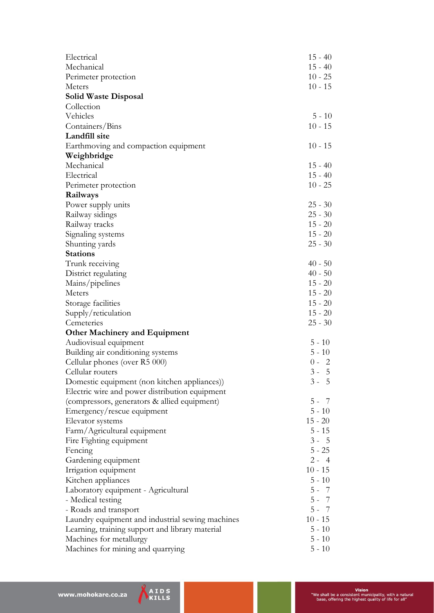| Electrical                                          | $15 - 40$             |
|-----------------------------------------------------|-----------------------|
| Mechanical                                          | $15 - 40$             |
|                                                     | $10 - 25$             |
| Perimeter protection<br>Meters                      | $10 - 15$             |
| <b>Solid Waste Disposal</b>                         |                       |
| Collection                                          |                       |
| Vehicles                                            | $5 - 10$              |
| Containers/Bins                                     | $10 - 15$             |
| Landfill site                                       |                       |
|                                                     | $10 - 15$             |
| Earthmoving and compaction equipment<br>Weighbridge |                       |
| Mechanical                                          |                       |
| Electrical                                          | $15 - 40$             |
|                                                     | $15 - 40$             |
| Perimeter protection                                | $10 - 25$             |
| Railways                                            |                       |
| Power supply units                                  | $25 - 30$             |
| Railway sidings                                     | $25 - 30$             |
| Railway tracks                                      | $15 - 20$             |
| Signaling systems                                   | $15 - 20$             |
| Shunting yards                                      | $25 - 30$             |
| <b>Stations</b>                                     |                       |
| Trunk receiving                                     | $40 - 50$             |
| District regulating                                 | $40 - 50$             |
| Mains/pipelines                                     | $15 - 20$             |
| Meters                                              | $15 - 20$             |
| Storage facilities                                  | $15 - 20$             |
| Supply/reticulation                                 | $15 - 20$             |
| Cemeteries                                          | $25 - 30$             |
| <b>Other Machinery and Equipment</b>                |                       |
| Audiovisual equipment                               | $5 - 10$              |
| Building air conditioning systems                   | $5 - 10$              |
| Cellular phones (over R5 000)                       | $0 - 2$               |
| Cellular routers                                    | $3 - 5$               |
| Domestic equipment (non kitchen appliances))        | $3 - 5$               |
| Electric wire and power distribution equipment      |                       |
| (compressors, generators & allied equipment)        | $5 - 7$               |
| Emergency/rescue equipment                          | $5 - 10$              |
| Elevator systems                                    | $15 - 20$             |
| Farm/Agricultural equipment                         | $5 - 15$              |
| Fire Fighting equipment                             | $3 - 5$               |
| Fencing                                             | $5 - 25$              |
| Gardening equipment                                 | $2 - 4$               |
| Irrigation equipment                                | $10 - 15$             |
| Kitchen appliances                                  | $5 - 10$              |
| Laboratory equipment - Agricultural                 | $5 - 7$               |
| - Medical testing                                   | $5 - 7$               |
| - Roads and transport                               | $5 - 7$               |
| Laundry equipment and industrial sewing machines    | $10 - 15$<br>$5 - 10$ |
| Learning, training support and library material     |                       |
| Machines for metallurgy                             | $5 - 10$              |
| Machines for mining and quarrying                   | $5 - 10$              |

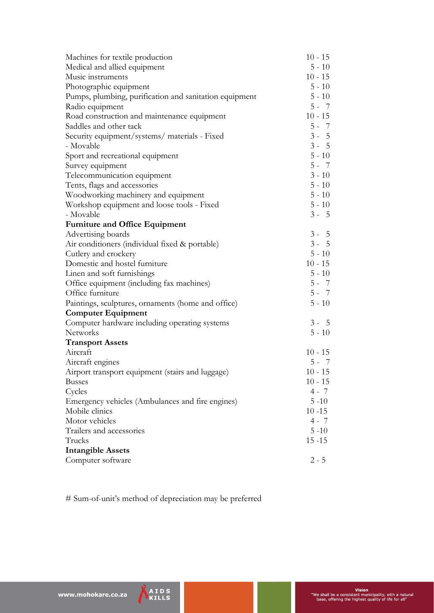| Machines for textile production                        | $10 - 15$             |
|--------------------------------------------------------|-----------------------|
| Medical and allied equipment                           | $5 - 10$              |
| Music instruments                                      | $10 - 15$             |
| Photographic equipment                                 | $5 - 10$              |
| Pumps, plumbing, purification and sanitation equipment | $5 - 10$              |
| Radio equipment                                        | $5 - 7$               |
| Road construction and maintenance equipment            | $10 - 15$             |
| Saddles and other tack                                 | $5 - 7$               |
| Security equipment/systems/ materials - Fixed          | $3 - 5$               |
| - Movable                                              | $3 - 5$               |
| Sport and recreational equipment                       | $5 - 10$              |
| Survey equipment                                       | $5 - 7$               |
| Telecommunication equipment                            | $3 - 10$              |
| Tents, flags and accessories                           | $5 - 10$              |
| Woodworking machinery and equipment                    | $5 - 10$              |
| Workshop equipment and loose tools - Fixed             | $5 - 10$              |
| - Movable                                              | $3 - 5$               |
| <b>Furniture and Office Equipment</b>                  |                       |
| Advertising boards                                     | $3 - 5$               |
| Air conditioners (individual fixed & portable)         | $3 - 5$               |
| Cutlery and crockery                                   | $5 - 10$              |
| Domestic and hostel furniture                          | $10 - 15$             |
| Linen and soft furnishings                             | $5 - 10$              |
| Office equipment (including fax machines)              | $5 - 7$               |
| Office furniture                                       | $5 - 7$               |
| Paintings, sculptures, ornaments (home and office)     | $5 - 10$              |
| <b>Computer Equipment</b>                              |                       |
| Computer hardware including operating systems          | $3 - 5$               |
| Networks                                               | $5 - 10$              |
| <b>Transport Assets</b>                                |                       |
| Aircraft                                               | $10 - 15$             |
| Aircraft engines                                       | $5 - 7$               |
| Airport transport equipment (stairs and luggage)       | $10 - 15$             |
| <b>Busses</b>                                          | $10 - 15$             |
| Cycles                                                 | $4 - 7$               |
| Emergency vehicles (Ambulances and fire engines)       | $5 - 10$              |
| Mobile clinics                                         | $10 - 15$             |
| Motor vehicles                                         | $4 - 7$               |
| Trailers and accessories                               |                       |
| Trucks                                                 | $5 - 10$<br>$15 - 15$ |
| <b>Intangible Assets</b>                               |                       |
| Computer software                                      | $2 - 5$               |
|                                                        |                       |

# Sum-of-unit's method of depreciation may be preferred

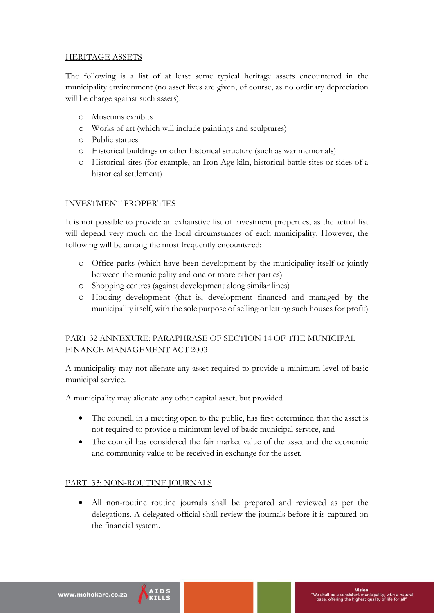## HERITAGE ASSETS

The following is a list of at least some typical heritage assets encountered in the municipality environment (no asset lives are given, of course, as no ordinary depreciation will be charge against such assets):

- o Museums exhibits
- o Works of art (which will include paintings and sculptures)
- o Public statues
- o Historical buildings or other historical structure (such as war memorials)
- o Historical sites (for example, an Iron Age kiln, historical battle sites or sides of a historical settlement)

## INVESTMENT PROPERTIES

It is not possible to provide an exhaustive list of investment properties, as the actual list will depend very much on the local circumstances of each municipality. However, the following will be among the most frequently encountered:

- o Office parks (which have been development by the municipality itself or jointly between the municipality and one or more other parties)
- o Shopping centres (against development along similar lines)
- o Housing development (that is, development financed and managed by the municipality itself, with the sole purpose of selling or letting such houses for profit)

## PART 32 ANNEXURE: PARAPHRASE OF SECTION 14 OF THE MUNICIPAL FINANCE MANAGEMENT ACT 2003

A municipality may not alienate any asset required to provide a minimum level of basic municipal service.

A municipality may alienate any other capital asset, but provided

- The council, in a meeting open to the public, has first determined that the asset is not required to provide a minimum level of basic municipal service, and
- The council has considered the fair market value of the asset and the economic and community value to be received in exchange for the asset.

## PART 33: NON-ROUTINE JOURNALS

 All non-routine routine journals shall be prepared and reviewed as per the delegations. A delegated official shall review the journals before it is captured on the financial system.